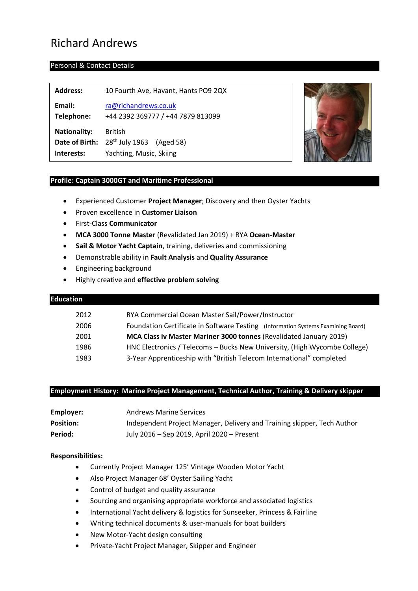# Richard Andrews

# Personal & Contact Details

| <b>Address:</b>      | 10 Fourth Ave, Havant, Hants PO9 2QX                        |
|----------------------|-------------------------------------------------------------|
| Email:<br>Telephone: | ra@richandrews.co.uk<br>+44 2392 369777 / +44 7879 813099   |
| <b>Nationality:</b>  | <b>British</b><br>Date of Birth: $28th$ July 1963 (Aged 58) |
| Interests:           | Yachting, Music, Skiing                                     |



# **Profile: Captain 3000GT and Maritime Professional**

- Experienced Customer **Project Manager**; Discovery and then Oyster Yachts
- Proven excellence in **Customer Liaison**
- First-Class **Communicator**
- **MCA 3000 Tonne Master** (Revalidated Jan 2019) + RYA **Ocean-Master**
- **Sail & Motor Yacht Captain**, training, deliveries and commissioning
- Demonstrable ability in **Fault Analysis** and **Quality Assurance**
- Engineering background
- Highly creative and **effective problem solving**

# **Education**

| 2012 | RYA Commercial Ocean Master Sail/Power/Instructor                                |
|------|----------------------------------------------------------------------------------|
| 2006 | Foundation Certificate in Software Testing (Information Systems Examining Board) |
| 2001 | MCA Class iv Master Mariner 3000 tonnes (Revalidated January 2019)               |
| 1986 | HNC Electronics / Telecoms - Bucks New University, (High Wycombe College)        |
| 1983 | 3-Year Apprenticeship with "British Telecom International" completed             |

# **Employment History: Marine Project Management, Technical Author, Training & Delivery skipper**

| Employer:        | <b>Andrews Marine Services</b>                                          |
|------------------|-------------------------------------------------------------------------|
| <b>Position:</b> | Independent Project Manager, Delivery and Training skipper, Tech Author |
| Period:          | July 2016 – Sep 2019, April 2020 – Present                              |

# **Responsibilities:**

- Currently Project Manager 125' Vintage Wooden Motor Yacht
- Also Project Manager 68' Oyster Sailing Yacht
- Control of budget and quality assurance
- Sourcing and organising appropriate workforce and associated logistics
- International Yacht delivery & logistics for Sunseeker, Princess & Fairline
- Writing technical documents & user-manuals for boat builders
- New Motor-Yacht design consulting
- Private-Yacht Project Manager, Skipper and Engineer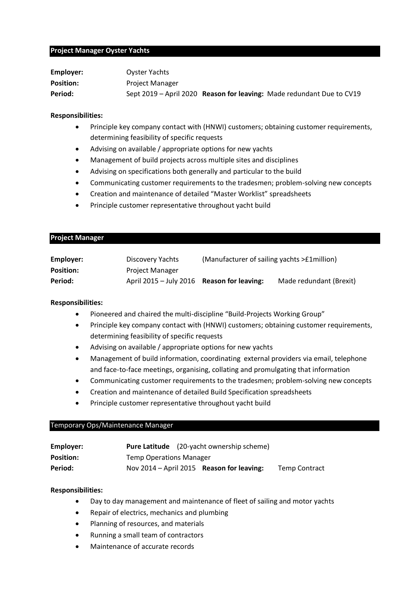#### **Project Manager Oyster Yachts**

| Employer:        | Oyster Yachts          |                                                                       |
|------------------|------------------------|-----------------------------------------------------------------------|
| <b>Position:</b> | <b>Project Manager</b> |                                                                       |
| Period:          |                        | Sept 2019 - April 2020 Reason for leaving: Made redundant Due to CV19 |

#### **Responsibilities:**

- Principle key company contact with (HNWI) customers; obtaining customer requirements, determining feasibility of specific requests
- Advising on available / appropriate options for new yachts
- Management of build projects across multiple sites and disciplines
- Advising on specifications both generally and particular to the build
- Communicating customer requirements to the tradesmen; problem-solving new concepts
- Creation and maintenance of detailed "Master Worklist" spreadsheets
- Principle customer representative throughout yacht build

#### **Project Manager**

| Employer:        | Discovery Yachts                             | (Manufacturer of sailing yachts > £1 million) |                         |
|------------------|----------------------------------------------|-----------------------------------------------|-------------------------|
| <b>Position:</b> | <b>Project Manager</b>                       |                                               |                         |
| Period:          | April $2015 -$ July 2016 Reason for leaving: |                                               | Made redundant (Brexit) |

# **Responsibilities:**

- Pioneered and chaired the multi-discipline "Build-Projects Working Group"
- Principle key company contact with (HNWI) customers; obtaining customer requirements, determining feasibility of specific requests
- Advising on available / appropriate options for new yachts
- Management of build information, coordinating external providers via email, telephone and face-to-face meetings, organising, collating and promulgating that information
- Communicating customer requirements to the tradesmen; problem-solving new concepts
- Creation and maintenance of detailed Build Specification spreadsheets
- Principle customer representative throughout yacht build

# Temporary Ops/Maintenance Manager

| Employer:        |                                | <b>Pure Latitude</b> (20-yacht ownership scheme) |                      |
|------------------|--------------------------------|--------------------------------------------------|----------------------|
| <b>Position:</b> | <b>Temp Operations Manager</b> |                                                  |                      |
| Period:          |                                | Nov 2014 - April 2015 Reason for leaving:        | <b>Temp Contract</b> |

# **Responsibilities:**

- Day to day management and maintenance of fleet of sailing and motor yachts
- Repair of electrics, mechanics and plumbing
- Planning of resources, and materials
- Running a small team of contractors
- Maintenance of accurate records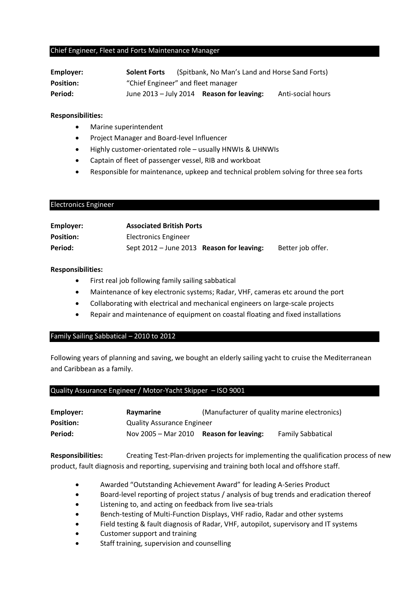#### Chief Engineer, Fleet and Forts Maintenance Manager

| Employer:        | <b>Solent Forts</b>                |                                             | (Spitbank, No Man's Land and Horse Sand Forts) |
|------------------|------------------------------------|---------------------------------------------|------------------------------------------------|
| <b>Position:</b> | "Chief Engineer" and fleet manager |                                             |                                                |
| Period:          |                                    | June $2013 -$ July 2014 Reason for leaving: | Anti-social hours                              |

#### **Responsibilities:**

- Marine superintendent
- Project Manager and Board-level Influencer
- Highly customer-orientated role usually HNWIs & UHNWIs
- Captain of fleet of passenger vessel, RIB and workboat
- Responsible for maintenance, upkeep and technical problem solving for three sea forts

# Electronics Engineer

| Employer:        | <b>Associated British Ports</b>           |                   |
|------------------|-------------------------------------------|-------------------|
| <b>Position:</b> | Electronics Engineer                      |                   |
| Period:          | Sept 2012 - June 2013 Reason for leaving: | Better job offer. |

# **Responsibilities:**

- First real job following family sailing sabbatical
- Maintenance of key electronic systems; Radar, VHF, cameras etc around the port
- Collaborating with electrical and mechanical engineers on large-scale projects
- Repair and maintenance of equipment on coastal floating and fixed installations

# Family Sailing Sabbatical – 2010 to 2012

Following years of planning and saving, we bought an elderly sailing yacht to cruise the Mediterranean and Caribbean as a family.

# Quality Assurance Engineer / Motor-Yacht Skipper – ISO 9001

| Employer:        | Raymarine                         | (Manufacturer of quality marine electronics) |                          |
|------------------|-----------------------------------|----------------------------------------------|--------------------------|
| <b>Position:</b> | <b>Quality Assurance Engineer</b> |                                              |                          |
| Period:          | Nov 2005 - Mar 2010               | <b>Reason for leaving:</b>                   | <b>Family Sabbatical</b> |

**Responsibilities:** Creating Test-Plan-driven projects for implementing the qualification process of new product, fault diagnosis and reporting, supervising and training both local and offshore staff.

- Awarded "Outstanding Achievement Award" for leading A-Series Product
- Board-level reporting of project status / analysis of bug trends and eradication thereof
- Listening to, and acting on feedback from live sea-trials
- Bench-testing of Multi-Function Displays, VHF radio, Radar and other systems
- Field testing & fault diagnosis of Radar, VHF, autopilot, supervisory and IT systems
- Customer support and training
- Staff training, supervision and counselling